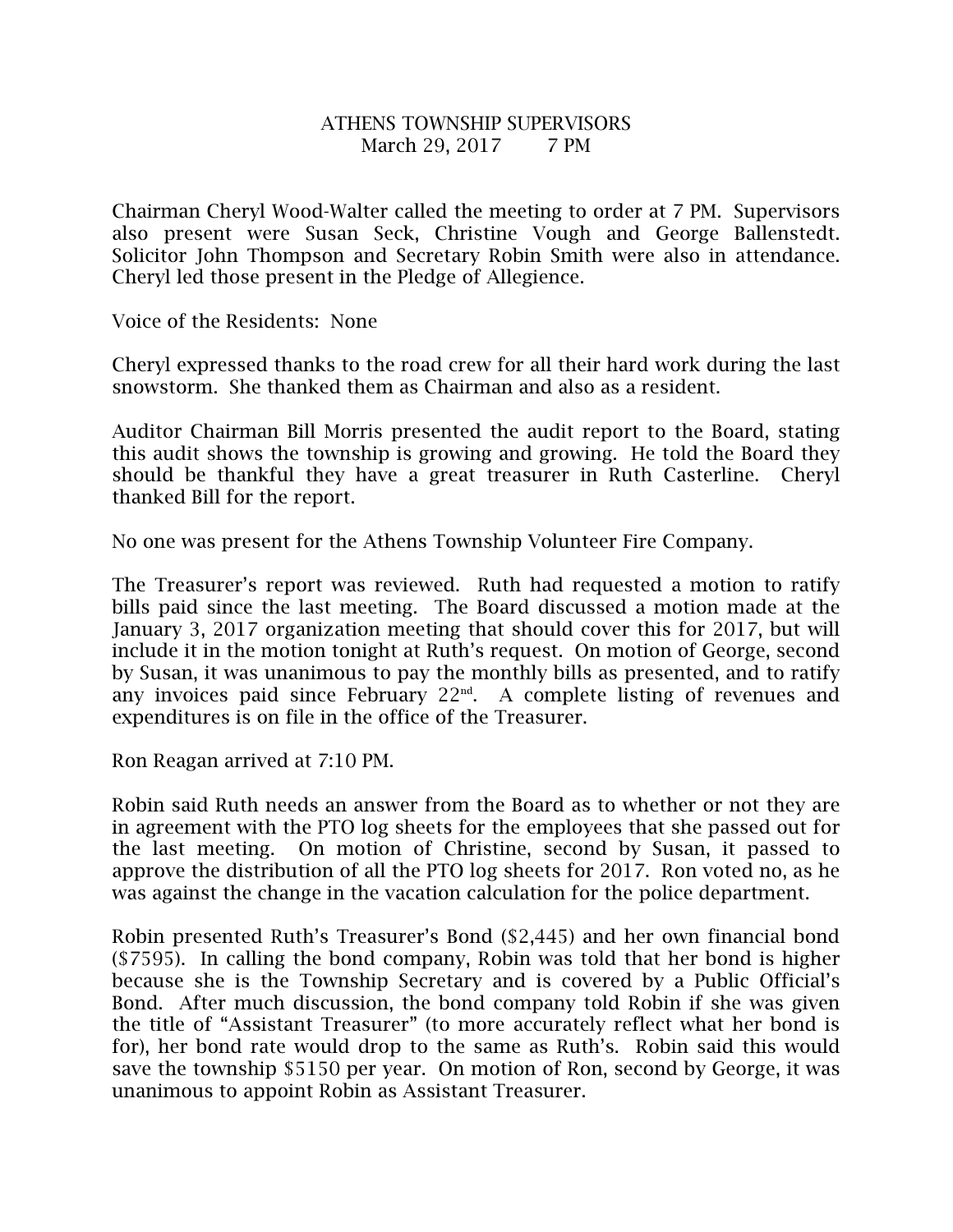## ATHENS TOWNSHIP SUPERVISORS March 29, 2017 7 PM

Chairman Cheryl Wood-Walter called the meeting to order at 7 PM. Supervisors also present were Susan Seck, Christine Vough and George Ballenstedt. Solicitor John Thompson and Secretary Robin Smith were also in attendance. Cheryl led those present in the Pledge of Allegience.

Voice of the Residents: None

Cheryl expressed thanks to the road crew for all their hard work during the last snowstorm. She thanked them as Chairman and also as a resident.

Auditor Chairman Bill Morris presented the audit report to the Board, stating this audit shows the township is growing and growing. He told the Board they should be thankful they have a great treasurer in Ruth Casterline. Cheryl thanked Bill for the report.

No one was present for the Athens Township Volunteer Fire Company.

The Treasurer's report was reviewed. Ruth had requested a motion to ratify bills paid since the last meeting. The Board discussed a motion made at the January 3, 2017 organization meeting that should cover this for 2017, but will include it in the motion tonight at Ruth's request. On motion of George, second by Susan, it was unanimous to pay the monthly bills as presented, and to ratify any invoices paid since February 22nd. A complete listing of revenues and expenditures is on file in the office of the Treasurer.

Ron Reagan arrived at 7:10 PM.

Robin said Ruth needs an answer from the Board as to whether or not they are in agreement with the PTO log sheets for the employees that she passed out for the last meeting. On motion of Christine, second by Susan, it passed to approve the distribution of all the PTO log sheets for 2017. Ron voted no, as he was against the change in the vacation calculation for the police department.

Robin presented Ruth's Treasurer's Bond (\$2,445) and her own financial bond (\$7595). In calling the bond company, Robin was told that her bond is higher because she is the Township Secretary and is covered by a Public Official's Bond. After much discussion, the bond company told Robin if she was given the title of "Assistant Treasurer" (to more accurately reflect what her bond is for), her bond rate would drop to the same as Ruth's. Robin said this would save the township \$5150 per year. On motion of Ron, second by George, it was unanimous to appoint Robin as Assistant Treasurer.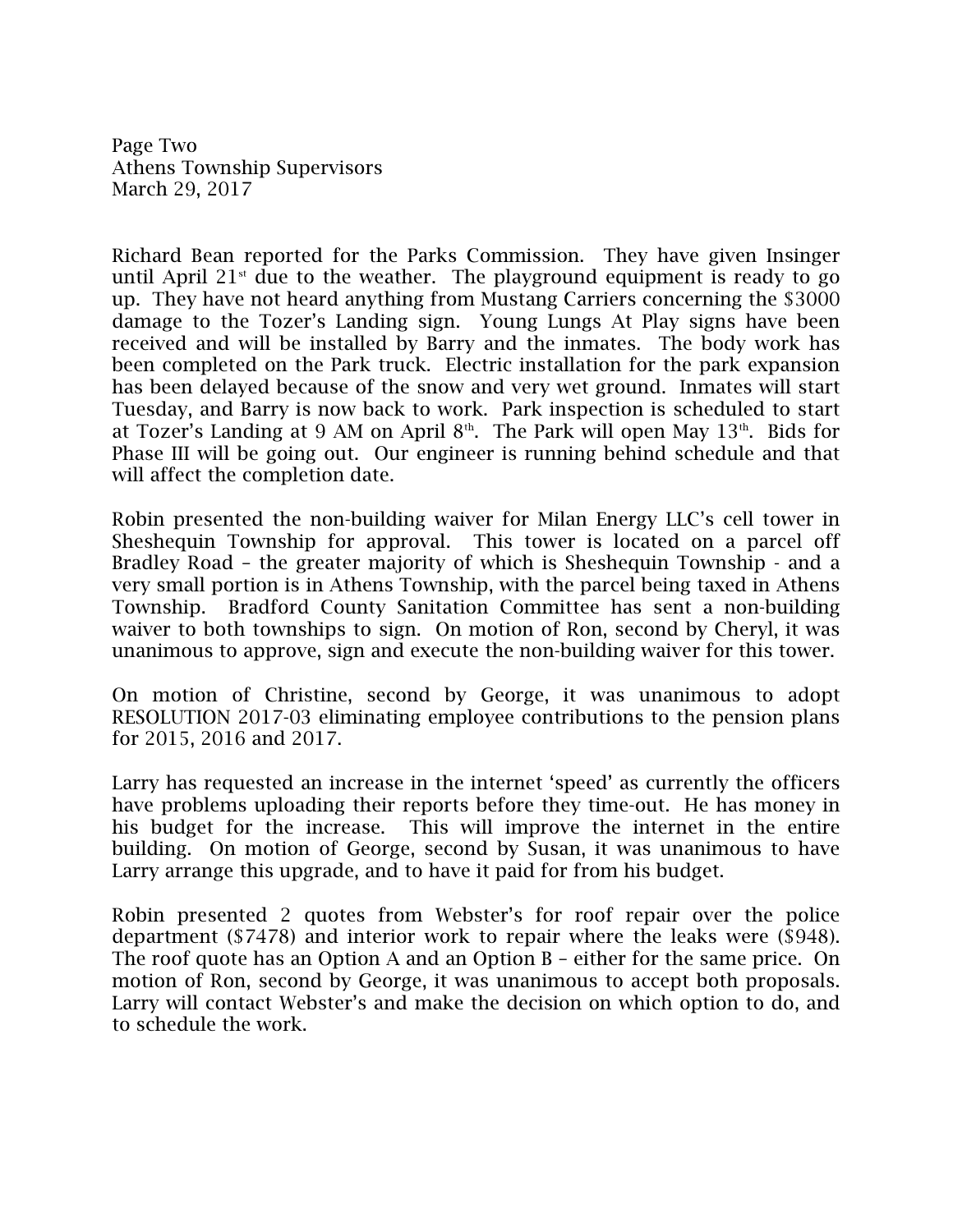Page Two Athens Township Supervisors March 29, 2017

Richard Bean reported for the Parks Commission. They have given Insinger until April  $21<sup>st</sup>$  due to the weather. The playground equipment is ready to go up. They have not heard anything from Mustang Carriers concerning the \$3000 damage to the Tozer's Landing sign. Young Lungs At Play signs have been received and will be installed by Barry and the inmates. The body work has been completed on the Park truck. Electric installation for the park expansion has been delayed because of the snow and very wet ground. Inmates will start Tuesday, and Barry is now back to work. Park inspection is scheduled to start at Tozer's Landing at 9 AM on April  $8<sup>th</sup>$ . The Park will open May  $13<sup>th</sup>$ . Bids for Phase III will be going out. Our engineer is running behind schedule and that will affect the completion date.

Robin presented the non-building waiver for Milan Energy LLC's cell tower in Sheshequin Township for approval. This tower is located on a parcel off Bradley Road – the greater majority of which is Sheshequin Township - and a very small portion is in Athens Township, with the parcel being taxed in Athens Township. Bradford County Sanitation Committee has sent a non-building waiver to both townships to sign. On motion of Ron, second by Cheryl, it was unanimous to approve, sign and execute the non-building waiver for this tower.

On motion of Christine, second by George, it was unanimous to adopt RESOLUTION 2017-03 eliminating employee contributions to the pension plans for 2015, 2016 and 2017.

Larry has requested an increase in the internet 'speed' as currently the officers have problems uploading their reports before they time-out. He has money in his budget for the increase. This will improve the internet in the entire building. On motion of George, second by Susan, it was unanimous to have Larry arrange this upgrade, and to have it paid for from his budget.

Robin presented 2 quotes from Webster's for roof repair over the police department (\$7478) and interior work to repair where the leaks were (\$948). The roof quote has an Option A and an Option B – either for the same price. On motion of Ron, second by George, it was unanimous to accept both proposals. Larry will contact Webster's and make the decision on which option to do, and to schedule the work.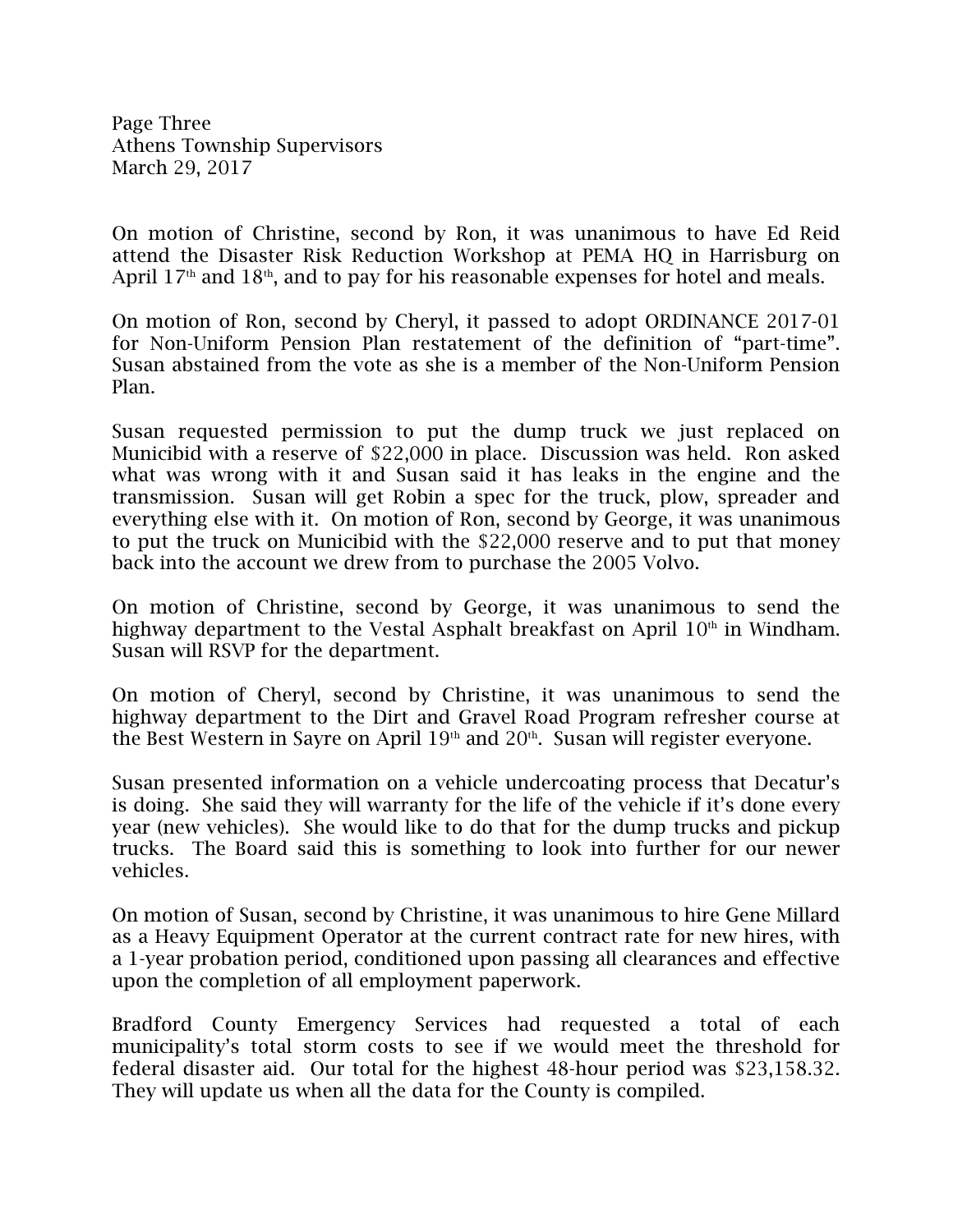Page Three Athens Township Supervisors March 29, 2017

On motion of Christine, second by Ron, it was unanimous to have Ed Reid attend the Disaster Risk Reduction Workshop at PEMA HQ in Harrisburg on April  $17<sup>th</sup>$  and  $18<sup>th</sup>$ , and to pay for his reasonable expenses for hotel and meals.

On motion of Ron, second by Cheryl, it passed to adopt ORDINANCE 2017-01 for Non-Uniform Pension Plan restatement of the definition of "part-time". Susan abstained from the vote as she is a member of the Non-Uniform Pension Plan.

Susan requested permission to put the dump truck we just replaced on Municibid with a reserve of \$22,000 in place. Discussion was held. Ron asked what was wrong with it and Susan said it has leaks in the engine and the transmission. Susan will get Robin a spec for the truck, plow, spreader and everything else with it. On motion of Ron, second by George, it was unanimous to put the truck on Municibid with the \$22,000 reserve and to put that money back into the account we drew from to purchase the 2005 Volvo.

On motion of Christine, second by George, it was unanimous to send the highway department to the Vestal Asphalt breakfast on April  $10<sup>th</sup>$  in Windham. Susan will RSVP for the department.

On motion of Cheryl, second by Christine, it was unanimous to send the highway department to the Dirt and Gravel Road Program refresher course at the Best Western in Sayre on April 19<sup>th</sup> and 20<sup>th</sup>. Susan will register everyone.

Susan presented information on a vehicle undercoating process that Decatur's is doing. She said they will warranty for the life of the vehicle if it's done every year (new vehicles). She would like to do that for the dump trucks and pickup trucks. The Board said this is something to look into further for our newer vehicles.

On motion of Susan, second by Christine, it was unanimous to hire Gene Millard as a Heavy Equipment Operator at the current contract rate for new hires, with a 1-year probation period, conditioned upon passing all clearances and effective upon the completion of all employment paperwork.

Bradford County Emergency Services had requested a total of each municipality's total storm costs to see if we would meet the threshold for federal disaster aid. Our total for the highest 48-hour period was \$23,158.32. They will update us when all the data for the County is compiled.